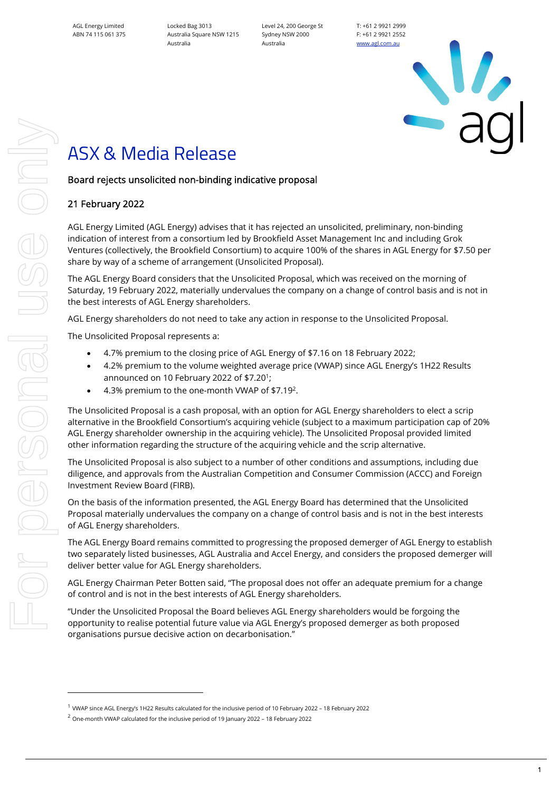Locked Bag 3013 Australia Square NSW 1215 Australia

Level 24, 200 George St Sydney NSW 2000 Australia

T: +61 2 9921 2999 F: +61 2 9921 2552 [www.agl.com.au](https://www.agl.com.au/about-agl)

# ASX & Media Release

# Board rejects unsolicited non-binding indicative proposal

# 21 February 2022

AGL Energy Limited (AGL Energy) advises that it has rejected an unsolicited, preliminary, non-binding indication of interest from a consortium led by Brookfield Asset Management Inc and including Grok Ventures (collectively, the Brookfield Consortium) to acquire 100% of the shares in AGL Energy for \$7.50 per share by way of a scheme of arrangement (Unsolicited Proposal).

The AGL Energy Board considers that the Unsolicited Proposal, which was received on the morning of Saturday, 19 February 2022, materially undervalues the company on a change of control basis and is not in the best interests of AGL Energy shareholders.

AGL Energy shareholders do not need to take any action in response to the Unsolicited Proposal.

The Unsolicited Proposal represents a:

- 4.7% premium to the closing price of AGL Energy of \$7.16 on 18 February 2022;
- 4.2% premium to the volume weighted average price (VWAP) since AGL Energy's 1H22 Results announced on 10 February 2022 of \$7.20<sup>1</sup>;
- 4.3% premium to the one-month VWAP of \$7.19<sup>2</sup>.

The Unsolicited Proposal is a cash proposal, with an option for AGL Energy shareholders to elect a scrip alternative in the Brookfield Consortium's acquiring vehicle (subject to a maximum participation cap of 20% AGL Energy shareholder ownership in the acquiring vehicle). The Unsolicited Proposal provided limited other information regarding the structure of the acquiring vehicle and the scrip alternative.

The Unsolicited Proposal is also subject to a number of other conditions and assumptions, including due diligence, and approvals from the Australian Competition and Consumer Commission (ACCC) and Foreign Investment Review Board (FIRB).

On the basis of the information presented, the AGL Energy Board has determined that the Unsolicited Proposal materially undervalues the company on a change of control basis and is not in the best interests of AGL Energy shareholders.

The AGL Energy Board remains committed to progressing the proposed demerger of AGL Energy to establish two separately listed businesses, AGL Australia and Accel Energy, and considers the proposed demerger will deliver better value for AGL Energy shareholders.

AGL Energy Chairman Peter Botten said, "The proposal does not offer an adequate premium for a change of control and is not in the best interests of AGL Energy shareholders.

"Under the Unsolicited Proposal the Board believes AGL Energy shareholders would be forgoing the opportunity to realise potential future value via AGL Energy's proposed demerger as both proposed organisations pursue decisive action on decarbonisation."

<sup>1</sup> VWAP since AGL Energy's 1H22 Results calculated for the inclusive period of 10 February 2022 – 18 February 2022

<sup>2</sup> One-month VWAP calculated for the inclusive period of 19 January 2022 – 18 February 2022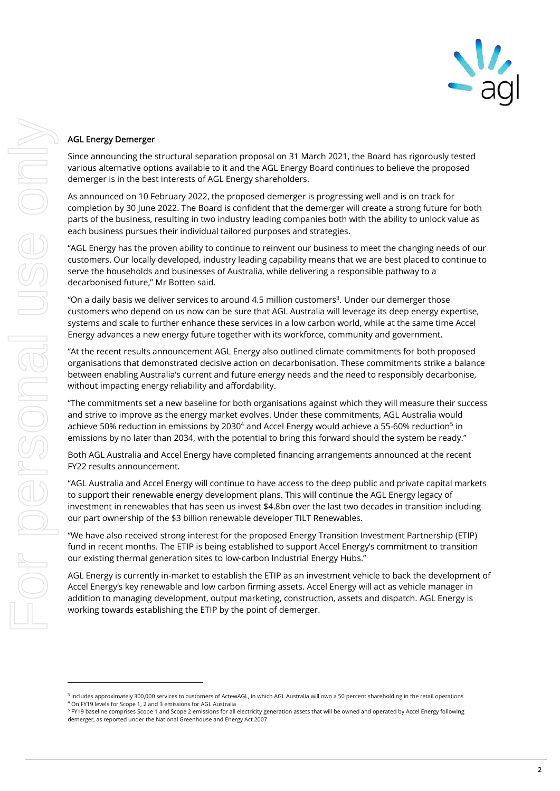

## AGL Energy Demerger

Since announcing the structural separation proposal on 31 March 2021, the Board has rigorously tested various alternative options available to it and the AGL Energy Board continues to believe the proposed demerger is in the best interests of AGL Energy shareholders.

As announced on 10 February 2022, the proposed demerger is progressing well and is on track for completion by 30 June 2022. The Board is confident that the demerger will create a strong future for both parts of the business, resulting in two industry leading companies both with the ability to unlock value as each business pursues their individual tailored purposes and strategies.

"AGL Energy has the proven ability to continue to reinvent our business to meet the changing needs of our customers. Our locally developed, industry leading capability means that we are best placed to continue to serve the households and businesses of Australia, while delivering a responsible pathway to a decarbonised future," Mr Botten said.

"On a daily basis we deliver services to around 4.5 million customers $3$ . Under our demerger those customers who depend on us now can be sure that AGL Australia will leverage its deep energy expertise, systems and scale to further enhance these services in a low carbon world, while at the same time Accel Energy advances a new energy future together with its workforce, community and government.

"At the recent results announcement AGL Energy also outlined climate commitments for both proposed organisations that demonstrated decisive action on decarbonisation. These commitments strike a balance between enabling Australia's current and future energy needs and the need to responsibly decarbonise, without impacting energy reliability and affordability.

"The commitments set a new baseline for both organisations against which they will measure their success and strive to improve as the energy market evolves. Under these commitments, AGL Australia would achieve 50% reduction in emissions by 2030<sup>4</sup> and Accel Energy would achieve a 55-60% reduction<sup>5</sup> in emissions by no later than 2034, with the potential to bring this forward should the system be ready."

Both AGL Australia and Accel Energy have completed financing arrangements announced at the recent FY22 results announcement.

"AGL Australia and Accel Energy will continue to have access to the deep public and private capital markets to support their renewable energy development plans. This will continue the AGL Energy legacy of investment in renewables that has seen us invest \$4.8bn over the last two decades in transition including our part ownership of the \$3 billion renewable developer TILT Renewables.

"We have also received strong interest for the proposed Energy Transition Investment Partnership (ETIP) fund in recent months. The ETIP is being established to support Accel Energy's commitment to transition our existing thermal generation sites to low-carbon Industrial Energy Hubs."

AGL Energy is currently in-market to establish the ETIP as an investment vehicle to back the development of Accel Energy's key renewable and low carbon firming assets. Accel Energy will act as vehicle manager in addition to managing development, output marketing, construction, assets and dispatch. AGL Energy is working towards establishing the ETIP by the point of demerger.

<sup>&</sup>lt;sup>3</sup> Includes approximately 300,000 services to customers of ActewAGL, in which AGL Australia will own a 50 percent shareholding in the retail operations 4 On FY19 levels for Scope 1, 2 and 3 emissions for AGL Australia

<sup>&</sup>lt;sup>5</sup> FY19 baseline comprises Scope 1 and Scope 2 emissions for all electricity generation assets that will be owned and operated by Accel Energy following demerger, as reported under the National Greenhouse and Energy Act 2007